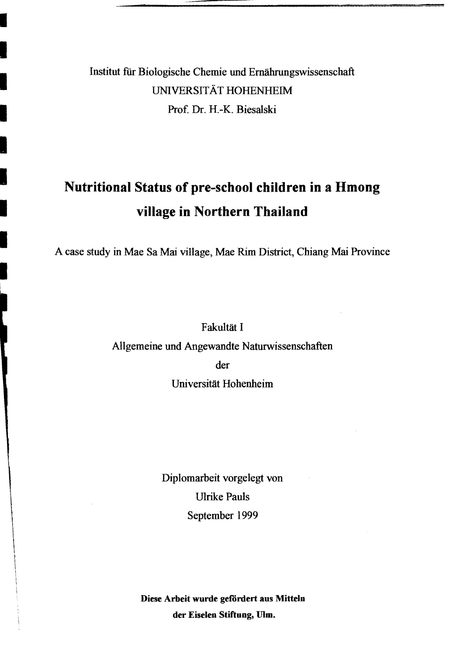## Institut für Biologische Chemie und Ernährungswissenschaft UNIVERSITÄT HOHENHEIM Prof. Dr. H.-K. Biesalski

# **Nutritional Status of pre-school children in a Hmong village in Northern Thailand**

A case study in Mae Sa Mai village, Mae Rim District, Chiang Mai Province

Fakultät I

Allgemeine und Angewandte Naturwissenschaften

der

Universität Hohenheim

Diplomarbeit vorgelegt von Ulrike Pauls September 1999

Diese Arbeit wurde gefordert aus Mitteln der Eiselen Stiftung, Ulm.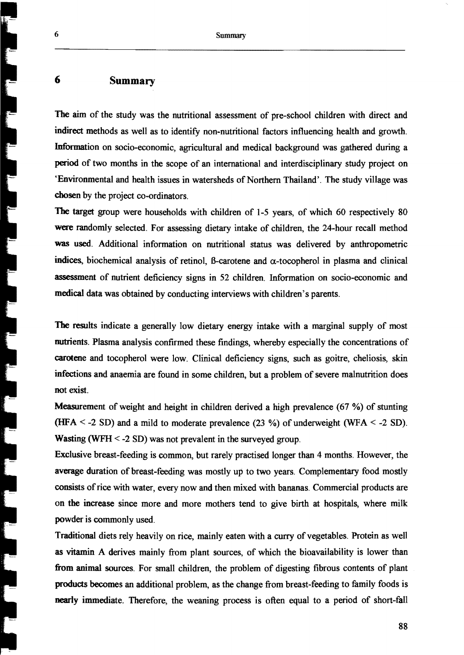#### 6 Summary

The aim of the study was the nutritional assessment of pre-school children with direct and indirect methods as weil as to identify non-nutritional factors influencing health and growth. Information on socio-economic, agricultural and medical background was gathered during a period of two months in the scope of an international and interdisciplinary study project on 'Environmental and health issues in watersheds of Northern Thailand'. The study village was chosen by the project co-ordinators.

The target group were households with children of 1-5 years, of which 60 respectively 80 were randomly selected. For assessing dietary intake of children, the 24-hour recall method was used. Additional information on nutritional status was delivered by anthropometric indices, biochemical analysis of retinol,  $\beta$ -carotene and  $\alpha$ -tocopherol in plasma and clinical assessment of nutrient deficiency signs in 52 children. Information on socio-economic and medical data was obtained by conducting interviews with children's parents.

The results indicate a generally low dietary energy intake with a marginal supply of most nutrients. Plasma analysis confirmed these findings, whereby especially the concentrations of carotene and tocopherol were low. Clinical deficiency signs, such as goitre, cheliosis, skin infections and anaemia are found in some children, but a problem of severe malnutrition does not exist.

Measurement of weight and height in children derived a high prevalence  $(67 \%)$  of stunting (HFA  $\le$  -2 SD) and a mild to moderate prevalence (23 %) of underweight (WFA  $\le$  -2 SD). Wasting (WFH < -2 SD) was not prevalent in the surveyed group.

Exclusive breast-feeding is common, but rarely practised longer than 4 months. However, the average duration of breast-feeding was mostly up to two years. Complementary food mostly consists of rice with water, every now and then mixed with bananas. Commercial products are on the increase since more and more mothers tend to give birth at hospitals, where milk powder is commonly used.

Traditionai diets rely heavily on rice, mainly eaten with a curry ofvegetables. Protein as weil as vitamin A derives mainly from plant sources, of which the bioavailability is lower than from animaI sources. For small children, the problem of digesting fibrous contents of plant products becomes an additional problem, as the change from breast-feeding to family foods is nearly immediate. Therefore, the weaning process is often equal to a period of short-fall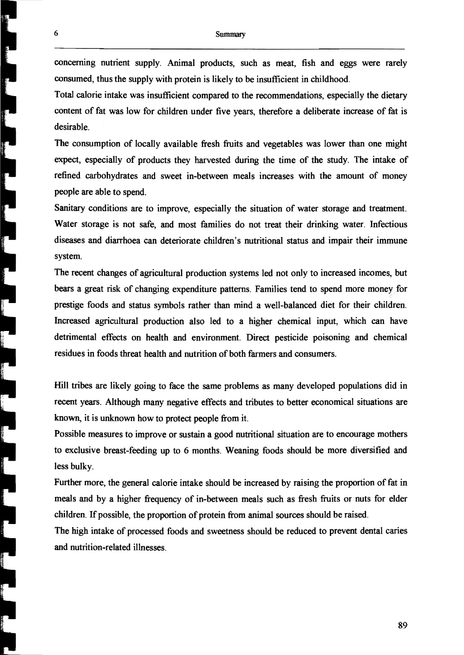conceming nutrient supply. Animal products, such as meat, fish and eggs were rarely consumed, thus the supply with protein is likely to be insufficient in childhood.

Total calorie intake was insufficient compared to the recommendations, especially the dietary content of fat was low for children under five years, therefore a deliberate increase of fat is desirable.

The consumption of locally available fresh fruits and vegetables was lower than one might expect, especially of products they harvested during the time of the study. The intake of refined carbohydrates and sweet in-between meals increases with the amount of money people are able to spend.

Sanitary conditions are to improve, especially the situation of water storage and treatment. Water storage is not safe, and most families do not treat their drinking water. Infectious diseases and diarrhoea can deteriorate cbildren's nutritional status and impair their immune system.

The recent changes of agricultural production systems led not only to increased incomes, but bears a great risk of changing expenditure patterns. Families tend to spend more money for prestige foods and status symbols rather than mind a well-balanced diet for their children. Increased agricultural production also led to a higher chemical input, wbich can have detrimental effects on heaIth and environment. Direct pesticide poisoning and chemical residues in foods threat health and nutrition of both farmers and consumers.

HilI tribes are likely going to face the same problems as many developed populations did in recent years. Although many negative effects and tributes to better economical situations are known, it is unknown how to protect people from it.

Possible measures to improve or sustain a good nutritional situation are to encourage mothers to exclusive breast-feeding up to 6 months. Weaning foods should be more diversified and less bulky.

Further more, the general calorie intake should be increased by raising the proportion of fat in meals and by a higher frequency of in-between meals such as fresh fruits or nuts for elder children. If possible, the proportion of protein from animal sources should be raised.

The high intake of processed foods and sweetness should be reduced to prevent dental caries and nutrition-related illnesses.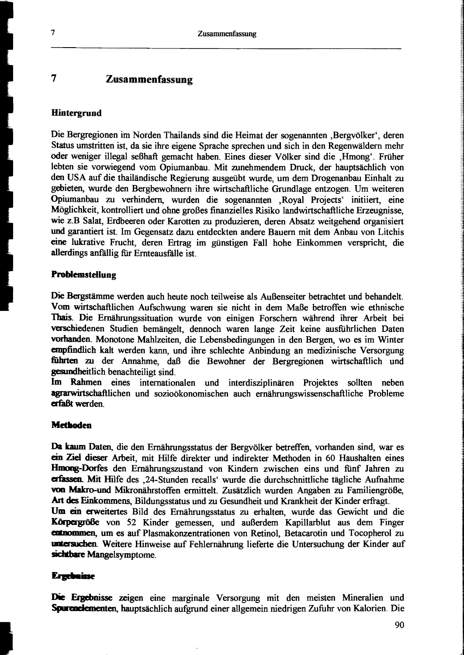### 7 Zusammenfassung

#### **Hintergrund**

Die Bergregionen im Norden Thailands sind die Heimat der sogenannten ,Bergvölker', deren Status umstritten ist, da sie ihre eigene Sprache sprechen und sich in den Regenwäldern mehr oder weniger illegal seßhaft gemacht haben. Eines dieser Völker sind die "Hmong". Früher lebten sie vorwiegend vom Opiumanbau. Mit zunehmendem Druck, der hauptsächlich von den USA auf die thailändische Regierung ausgeübt wurde, um dem Drogenanbau Einhalt zu gebieten, wurde den Bergbewohnern ihre wirtschaftliche Grundlage entzogen. Um weiteren Opiumanbau zu verhindern, wurden die sogenannten ,Royal Projects' initiiert, eine Möglichkeit, kontrolliert und ohne großes finanzielles Risiko landwirtschaftliche Erzeugnisse, wie z.B Salat, Erdbeeren oder Karotten zu produzieren, deren Absatz weitgehend organisiert und garantiert ist. Im Gegensatz dazu entdeckten andere Bauern mit dem Anbau von Litchis eine lukrative Frucht, deren Ertrag im günstigen Fall hohe Einkommen verspricht, die allerdings anfällig fiir Ernteausfälle ist.

#### Problemstellung

Die Bergstämme werden auch heute noch teilweise als Außenseiter betrachtet und behandelt. Vom wirtschaftlichen Aufschwung waren sie nicht in dem Maße betroffen wie ethnische Thais. Die Ernährungssituation wurde von einigen Forschern während ihrer Arbeit bei verschiedenen Studien bemängelt, dennoch waren lange Zeit keine ausfiihrlichen Daten vorbanden. Monotone Mahlzeiten, die Lebensbedingungen in den Bergen, wo es im Winter empfindlich kalt werden kann, und ihre schlechte Anbindung an medizinische Versorgung fiihrten zu der Annahme, daß die Bewohner der Bergregionen wirtschaftlich und gesundheitlich benachteiligt sind.

Im Rahmen eines internationalen und interdisziplinären Projektes sollten neben agrarwirtschaftlichen und sozioökonomischen auch ernährungswissenschaftliehe Probleme erfaßt werden.

#### **Methoden**

Da kaum Daten, die den Ernährungsstatus der Bergvölker betreffen, vorhanden sind, war es ein Ziel dieser Arbeit, mit Hilfe direkter und indirekter Methoden in 60 Haushalten eines Hmong-Dorfes den Ernährungszustand von Kindern zwischen eins und fünf Jahren zu erfassea Mit Hilfe des ,24-Stunden recalls' wurde die durchschnittliche tägliche Aufnahme von Makro-und Mikronährstoffen ermittelt. Zusätzlich wurden Angaben zu Familiengröße, Art des Einkommens, Bildungsstatus und zu Gesundheit und Krankheit der Kinder erfragt.

Um ein erweitertes Bild des Ernährungsstatus zu erhalten, wurde das Gewicht und die Körpergröße von 52 Kinder gemessen, und außerdem Kapillarblut aus dem Finger amaommen, um es auf Plasmakonzentrationen von Retinol, Betacarotin und Tocopherol zu untersuchen. Weitere Hinweise auf Fehlernährung lieferte die Untersuchung der Kinder auf sichtbare Mangelsymptome.

#### **Ergebnisse**

Die Ergebnisse zeigen eine marginale Versorgung mit den meisten Mineralien und Spurenelementen, hauptsächlich aufgrund einer allgemein niedrigen Zufuhr von Kalorien. Die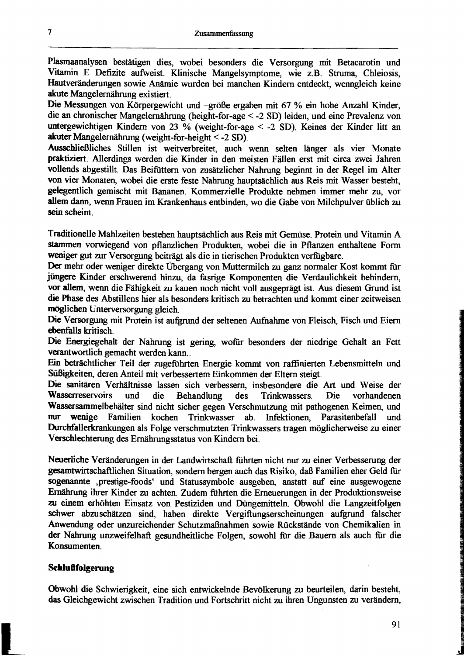Plasmaanalysen bestätigen dies, wobei besonders die Versorgung mit Betacarotin und *VItamin* E Defizite aufweist. Klinische Mangelsymptome, wie Z.B. Struma, Chleiosis, Hautveränderungen sowie Anämie wurden bei manchen Kindern entdeckt, wenngleich keine akute Mangelernährung existiert.

Die Messungen von Körpergewicht und -größe ergaben mit 67 % ein hohe Anzahl Kinder, die an chronischer Mangelernährung (height-for-age < -2 SD) leiden, und eine Prevalenz von untergewichtigen Kindern von 23 % (weight~for-age < -2 SD). Keines der Kinder litt an akuter Mangelernährung (weight-for-height < -2 SD).

Ausschließliches Stillen ist weitverbreitet, auch wenn selten länger als vier Monate praktiziert. Allerdings werden die Kinder in den meisten Fällen erst mit circa zwei Jahren vollends abgestillt. Das Beifüttern von zusätzlicher Nahrung beginnt in der Regel im Alter von vier Monaten, wobei die erste feste Nahrung hauptsächlich aus Reis mit Wasser besteht, gelegentlich gemischt mit Bananen. Kommerzielle Produkte nehmen immer mehr zu, vor allem dann, wenn Frauen im Krankenhaus entbinden, wo die Gabe von Milchpulver üblich zu sein scheint.

Traditionelle Mahlzeiten bestehen hauptsächlich aus Reis mit Gemüse. Protein und Vitamin A stammen vorwiegend von pflanzlichen Produkten, wobei die in Pflanzen enthaltene Form weniger gut zur Versorgung beiträgt als die in tierischen Produkten verfügbare.

Der mehr oder weniger direkte Übergang von Muttermilch zu ganz normaler Kost kommt fiir jüngere Kinder erschwerend hinzu, da fasrige Komponenten die Verdaulichkeit behindern, vor allem, wenn die Fähigkeit zu kauen noch nicht voll ausgeprägt ist. Aus diesem Grund ist die Phase des AbstilIens hier als besonders kritisch zu betrachten und kommt einer zeitweisen möglichen Unterversorgung gleich.

Die Versorgung mit Protein ist aufgrund der seltenen Aufnahme von Fleisch, Fisch und Eiern ebenfalls kritisch.

Die Energiegehalt der Nahrung ist gering, wofür besonders der niedrige Gehalt an Fett verantwortlich gemacht werden kann...

Ein beträchtlicher Teil der zugeführten Energie kommt von raffinierten Lebensmitteln und Süßigkeiten, deren Anteil mit verbessertem Einkommen der Eltern steigt.

Die sanitären Verhältnisse lassen sich verbessern, insbesondere die Art und Weise der Wasserreservoirs und die Behandlung des Trinkwassers. Die vorhandenen Wassersammelbehälter sind nicht sicher gegen Verschmutzung mit pathogenen Keimen, und nur wenige Familien kochen Trinkwasser ab. Infektionen, Parasitenbefall und nur wenige Familien kochen Trinkwasser ab. Infektionen, Parasitenbefall und :Durchfallerkrankungen als Folge verschmutzten Trinkwassers tragen möglicherweise zu einer Verschlechterung des Ernährungsstatus von Kindern bei.

Neuerliche Veränderungen in der Landwirtschaft fiihrten nicht nur zu einer Verbesserung der gesamtwirtschaftlichen Situation, sondern bergen auch das Risiko, daß Familien eher Geld für sogenannte ,prestige-foods' und Statussymbole ausgeben, anstatt auf eine ausgewogene Ernährung ihrer Kinder zu achten. Zudem führten die Erneuerungen in der Produktionsweise zu einem erhöhten Einsatz von Pestiziden und Düngemitteln. Obwohl die Langzeitfolgen schwer abzuschätzen sind, haben direkte Vergiftungserscheinungen aufgrund falscher Anwendung oder unzureichender Schutzmaßnahmen sowie Rückstände von Chemikalien in der Nahrung unzweifelhaft gesundheitliche Folgen, sowohl für die Bauern als auch für die Konsumenten.

#### **Schlußfolgerung**

Obwohl die Schwierigkeit, eine sich entwickelnde Bevölkerung zu beurteilen, darin besteht, das Gleichgewicht zwischen Tradition und Fortschritt nicht zu ihren Ungunsten zu verändern,